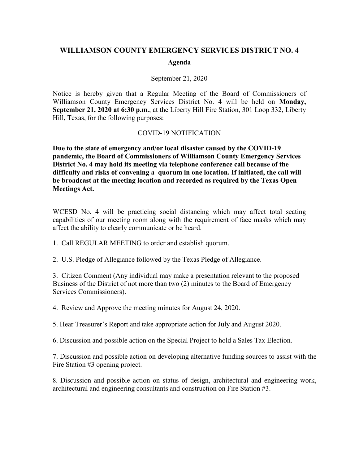## **WILLIAMSON COUNTY EMERGENCY SERVICES DISTRICT NO. 4**

## **Agenda**

## September 21, 2020

Notice is hereby given that a Regular Meeting of the Board of Commissioners of Williamson County Emergency Services District No. 4 will be held on **Monday, September 21, 2020 at 6:30 p.m.**, at the Liberty Hill Fire Station, 301 Loop 332, Liberty Hill, Texas, for the following purposes:

## COVID-19 NOTIFICATION

**Due to the state of emergency and/or local disaster caused by the COVID-19 pandemic, the Board of Commissioners of Williamson County Emergency Services District No. 4 may hold its meeting via telephone conference call because of the difficulty and risks of convening a quorum in one location. If initiated, the call will be broadcast at the meeting location and recorded as required by the Texas Open Meetings Act.**

WCESD No. 4 will be practicing social distancing which may affect total seating capabilities of our meeting room along with the requirement of face masks which may affect the ability to clearly communicate or be heard.

1. Call REGULAR MEETING to order and establish quorum.

2. U.S. Pledge of Allegiance followed by the Texas Pledge of Allegiance.

3. Citizen Comment (Any individual may make a presentation relevant to the proposed Business of the District of not more than two (2) minutes to the Board of Emergency Services Commissioners).

4. Review and Approve the meeting minutes for August 24, 2020.

5. Hear Treasurer's Report and take appropriate action for July and August 2020.

6. Discussion and possible action on the Special Project to hold a Sales Tax Election.

7. Discussion and possible action on developing alternative funding sources to assist with the Fire Station #3 opening project.

8. Discussion and possible action on status of design, architectural and engineering work, architectural and engineering consultants and construction on Fire Station #3.